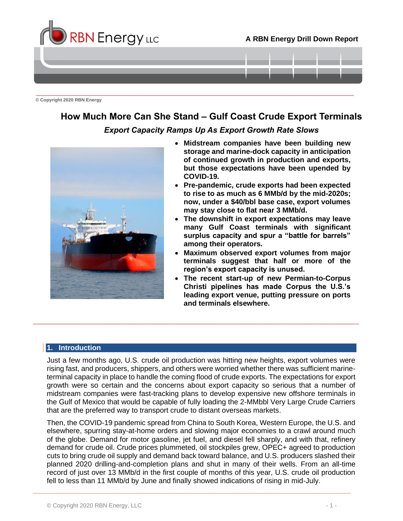

**© Copyright 2020 RBN Energy**

# **How Much More Can She Stand – Gulf Coast Crude Export Terminals**

### *Export Capacity Ramps Up As Export Growth Rate Slows*



- **Midstream companies have been building new storage and marine-dock capacity in anticipation of continued growth in production and exports, but those expectations have been upended by COVID-19.**
- **Pre-pandemic, crude exports had been expected to rise to as much as 6 MMb/d by the mid-2020s; now, under a \$40/bbl base case, export volumes may stay close to flat near 3 MMb/d.**
- **The downshift in export expectations may leave many Gulf Coast terminals with significant surplus capacity and spur a "battle for barrels" among their operators.**
- **Maximum observed export volumes from major terminals suggest that half or more of the region's export capacity is unused.**
- **The recent start-up of new Permian-to-Corpus Christi pipelines has made Corpus the U.S.'s leading export venue, putting pressure on ports and terminals elsewhere.**

#### <span id="page-0-0"></span>**1. Introduction**

Just a few months ago, U.S. crude oil production was hitting new heights, export volumes were rising fast, and producers, shippers, and others were worried whether there was sufficient marineterminal capacity in place to handle the coming flood of crude exports. The expectations for export growth were so certain and the concerns about export capacity so serious that a number of midstream companies were fast-tracking plans to develop expensive new offshore terminals in the Gulf of Mexico that would be capable of fully loading the 2-MMbbl Very Large Crude Carriers that are the preferred way to transport crude to distant overseas markets.

Then, the COVID-19 pandemic spread from China to South Korea, Western Europe, the U.S. and elsewhere, spurring stay-at-home orders and slowing major economies to a crawl around much of the globe. Demand for motor gasoline, jet fuel, and diesel fell sharply, and with that, refinery demand for crude oil. Crude prices plummeted, oil stockpiles grew, OPEC+ agreed to production cuts to bring crude oil supply and demand back toward balance, and U.S. producers slashed their planned 2020 drilling-and-completion plans and shut in many of their wells. From an all-time record of just over 13 MMb/d in the first couple of months of this year, U.S. crude oil production fell to less than 11 MMb/d by June and finally showed indications of rising in mid-July.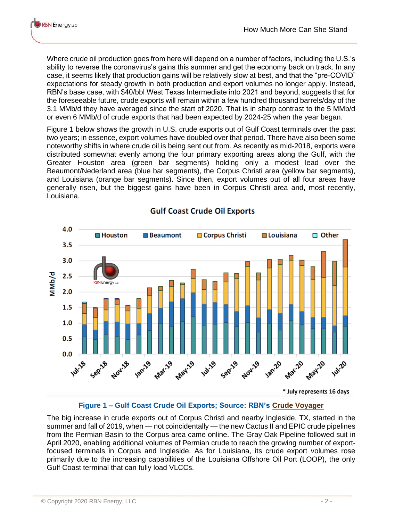Where crude oil production goes from here will depend on a number of factors, including the U.S.'s ability to reverse the coronavirus's gains this summer and get the economy back on track. In any case, it seems likely that production gains will be relatively slow at best, and that the "pre-COVID" expectations for steady growth in both production and export volumes no longer apply. Instead, RBN's base case, with \$40/bbl West Texas Intermediate into 2021 and beyond, suggests that for the foreseeable future, crude exports will remain within a few hundred thousand barrels/day of the 3.1 MMb/d they have averaged since the start of 2020. That is in sharp contrast to the 5 MMb/d or even 6 MMb/d of crude exports that had been expected by 2024-25 when the year began.

Figure 1 below shows the growth in U.S. crude exports out of Gulf Coast terminals over the past two years; in essence, export volumes have doubled over that period. There have also been some noteworthy shifts in where crude oil is being sent out from. As recently as mid-2018, exports were distributed somewhat evenly among the four primary exporting areas along the Gulf, with the Greater Houston area (green bar segments) holding only a modest lead over the Beaumont/Nederland area (blue bar segments), the Corpus Christi area (yellow bar segments), and Louisiana (orange bar segments). Since then, export volumes out of all four areas have generally risen, but the biggest gains have been in Corpus Christi area and, most recently, Louisiana.



# **Gulf Coast Crude Oil Exports**

### **Figure 1 – Gulf Coast Crude Oil Exports; Source: RBN's [Crude Voyager](https://rbnenergy.com/products/crude-voyager)**

The big increase in crude exports out of Corpus Christi and nearby Ingleside, TX, started in the summer and fall of 2019, when — not coincidentally — the new Cactus II and EPIC crude pipelines from the Permian Basin to the Corpus area came online. The Gray Oak Pipeline followed suit in April 2020, enabling additional volumes of Permian crude to reach the growing number of exportfocused terminals in Corpus and Ingleside. As for Louisiana, its crude export volumes rose primarily due to the increasing capabilities of the Louisiana Offshore Oil Port (LOOP), the only Gulf Coast terminal that can fully load VLCCs.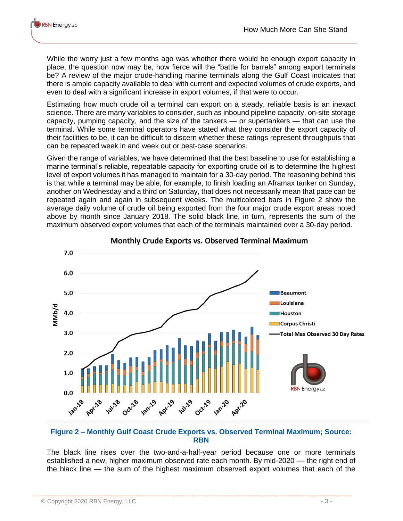While the worry just a few months ago was whether there would be enough export capacity in place, the question now may be, how fierce will the "battle for barrels" among export terminals be? A review of the major crude-handling marine terminals along the Gulf Coast indicates that there is ample capacity available to deal with current and expected volumes of crude exports, and even to deal with a significant increase in export volumes, if that were to occur.

Estimating how much crude oil a terminal can export on a steady, reliable basis is an inexact science. There are many variables to consider, such as inbound pipeline capacity, on-site storage capacity, pumping capacity, and the size of the tankers — or supertankers — that can use the terminal. While some terminal operators have stated what they consider the export capacity of their facilities to be, it can be difficult to discern whether these ratings represent throughputs that can be repeated week in and week out or best-case scenarios.

Given the range of variables, we have determined that the best baseline to use for establishing a marine terminal's reliable, repeatable capacity for exporting crude oil is to determine the highest level of export volumes it has managed to maintain for a 30-day period. The reasoning behind this is that while a terminal may be able, for example, to finish loading an Aframax tanker on Sunday, another on Wednesday and a third on Saturday, that does not necessarily mean that pace can be repeated again and again in subsequent weeks. The multicolored bars in Figure 2 show the average daily volume of crude oil being exported from the four major crude export areas noted above by month since January 2018. The solid black line, in turn, represents the sum of the maximum observed export volumes that each of the terminals maintained over a 30-day period.



## Monthly Crude Exports vs. Observed Terminal Maximum

#### **Figure 2 – Monthly Gulf Coast Crude Exports vs. Observed Terminal Maximum; Source: RBN**

The black line rises over the two-and-a-half-year period because one or more terminals established a new, higher maximum observed rate each month. By mid-2020 — the right end of the black line — the sum of the highest maximum observed export volumes that each of the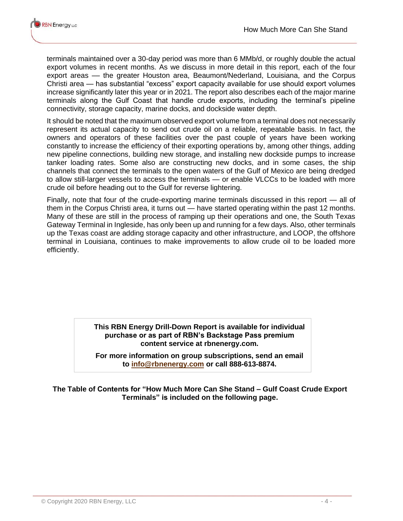terminals maintained over a 30-day period was more than 6 MMb/d, or roughly double the actual export volumes in recent months. As we discuss in more detail in this report, each of the four export areas - the greater Houston area, Beaumont/Nederland, Louisiana, and the Corpus Christi area — has substantial "excess" export capacity available for use should export volumes increase significantly later this year or in 2021. The report also describes each of the major marine terminals along the Gulf Coast that handle crude exports, including the terminal's pipeline connectivity, storage capacity, marine docks, and dockside water depth.

It should be noted that the maximum observed export volume from a terminal does not necessarily represent its actual capacity to send out crude oil on a reliable, repeatable basis. In fact, the owners and operators of these facilities over the past couple of years have been working constantly to increase the efficiency of their exporting operations by, among other things, adding new pipeline connections, building new storage, and installing new dockside pumps to increase tanker loading rates. Some also are constructing new docks, and in some cases, the ship channels that connect the terminals to the open waters of the Gulf of Mexico are being dredged to allow still-larger vessels to access the terminals — or enable VLCCs to be loaded with more crude oil before heading out to the Gulf for reverse lightering.

Finally, note that four of the crude-exporting marine terminals discussed in this report — all of them in the Corpus Christi area, it turns out — have started operating within the past 12 months. Many of these are still in the process of ramping up their operations and one, the South Texas Gateway Terminal in Ingleside, has only been up and running for a few days. Also, other terminals up the Texas coast are adding storage capacity and other infrastructure, and LOOP, the offshore terminal in Louisiana, continues to make improvements to allow crude oil to be loaded more efficiently.

#### **This RBN Energy Drill-Down Report is available for individual purchase or as part of RBN's Backstage Pass premium content service at rbnenergy.com.**

**For more information on group subscriptions, send an email to [info@rbnenergy.com](mailto:info@rbnenergy.com) or call 888-613-8874.**

**The Table of Contents for "How Much More Can She Stand – Gulf Coast Crude Export Terminals" is included on the following page.**